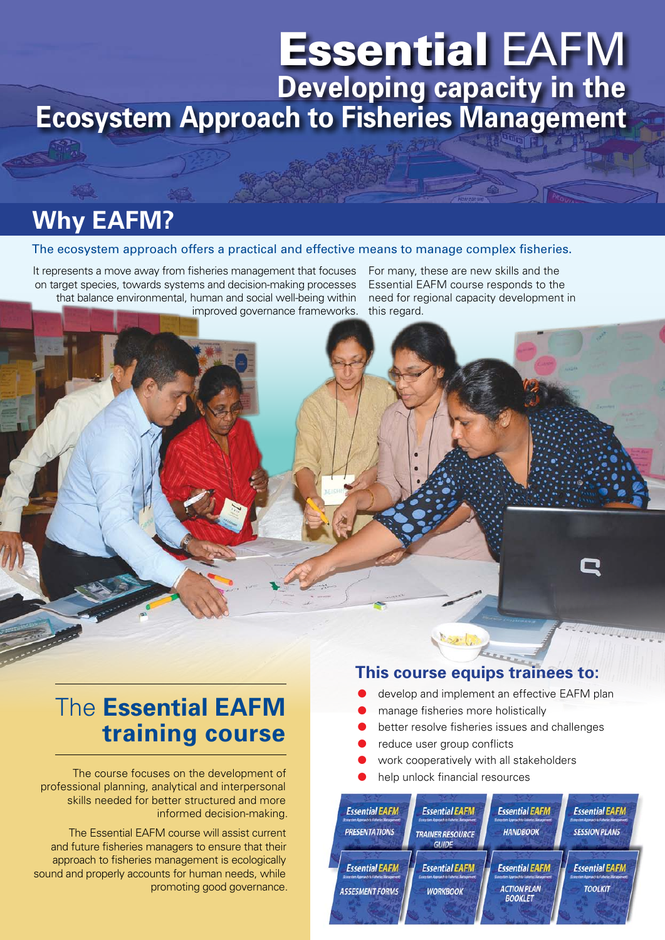# Essential EAFM **Developing capacity in the Ecosystem Approach to Fisheries Management**

## **Why EAFM?**

#### The ecosystem approach offers a practical and effective means to manage complex fisheries.

It represents a move away from fisheries management that focuses on target species, towards systems and decision-making processes that balance environmental, human and social well-being within improved governance frameworks.

For many, these are new skills and the Essential EAFM course responds to the need for regional capacity development in this regard.

## The **Essential EAFM training course**

The course focuses on the development of  $\Box$   $\Box$  help unlock financial resources professional planning, analytical and interpersonal skills needed for better structured and more informed decision-making.

The Essential EAFM course will assist current and future fisheries managers to ensure that their approach to fisheries management is ecologically sound and properly accounts for human needs, while promoting good governance.

#### **This course equips trainees to:**

- develop and implement an effective EAFM plan
- manage fisheries more holistically
- better resolve fisheries issues and challenges
- reduce user group conflicts
- work cooperatively with all stakeholders
-